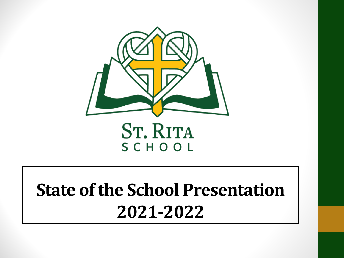

#### **ST. RITA** SCHOOL

#### **State of the School Presentation 2021-2022**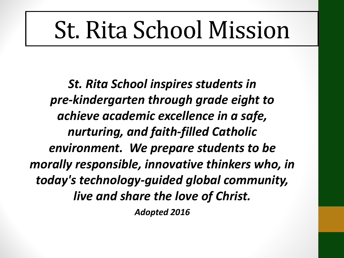# St. Rita School Mission

*St. Rita School inspires students in pre-kindergarten through grade eight to achieve academic excellence in a safe, nurturing, and faith-filled Catholic environment. We prepare students to be morally responsible, innovative thinkers who, in today's technology-guided global community, live and share the love of Christ. Adopted 2016*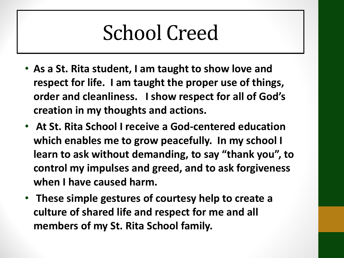#### School Creed

- **As a St. Rita student, I am taught to show love and respect for life. I am taught the proper use of things, order and cleanliness. I show respect for all of God's creation in my thoughts and actions.**
- **At St. Rita School I receive a God-centered education which enables me to grow peacefully. In my school I learn to ask without demanding, to say "thank you", to control my impulses and greed, and to ask forgiveness when I have caused harm.**
- **These simple gestures of courtesy help to create a culture of shared life and respect for me and all members of my St. Rita School family.**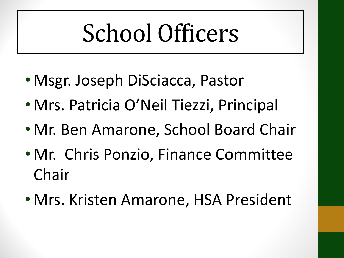# School Officers

- Msgr. Joseph DiSciacca, Pastor
- Mrs. Patricia O'Neil Tiezzi, Principal
- Mr. Ben Amarone, School Board Chair
- Mr. Chris Ponzio, Finance Committee Chair
- Mrs. Kristen Amarone, HSA President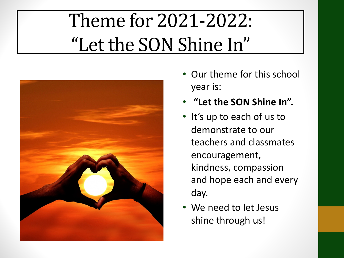#### Theme for 2021-2022: "Let the SON Shine In"



- Our theme for this school year is:
- **"Let the SON Shine In".**
- It's up to each of us to demonstrate to our teachers and classmates encouragement, kindness, compassion and hope each and every day.
- We need to let Jesus shine through us!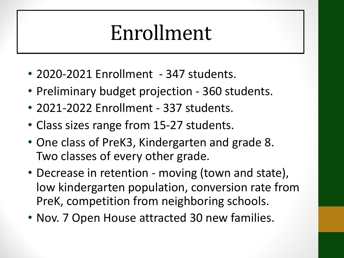#### Enrollment

- 2020-2021 Enrollment 347 students.
- Preliminary budget projection 360 students.
- 2021-2022 Enrollment 337 students.
- Class sizes range from 15-27 students.
- One class of PreK3, Kindergarten and grade 8. Two classes of every other grade.
- Decrease in retention moving (town and state), low kindergarten population, conversion rate from PreK, competition from neighboring schools.
- Nov. 7 Open House attracted 30 new families.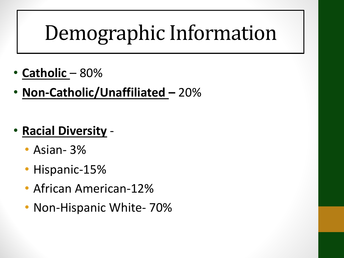## Demographic Information

- **Catholic**  80%
- **Non-Catholic/Unaffiliated –** 20%
- **Racial Diversity**
	- Asian- 3%
	- Hispanic-15%
	- African American-12%
	- Non-Hispanic White- 70%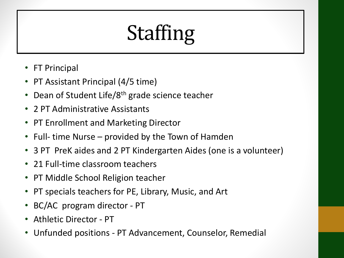# Staffing

- FT Principal
- PT Assistant Principal (4/5 time)
- Dean of Student Life/8<sup>th</sup> grade science teacher
- 2 PT Administrative Assistants
- PT Enrollment and Marketing Director
- Full- time Nurse provided by the Town of Hamden
- 3 PT PreK aides and 2 PT Kindergarten Aides (one is a volunteer)
- 21 Full-time classroom teachers
- PT Middle School Religion teacher
- PT specials teachers for PE, Library, Music, and Art
- BC/AC program director PT
- Athletic Director PT
- Unfunded positions PT Advancement, Counselor, Remedial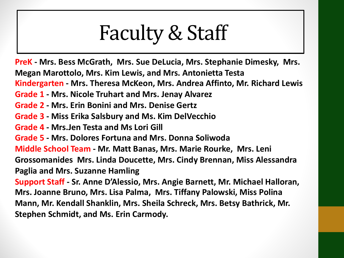### Faculty & Staff

**PreK - Mrs. Bess McGrath, Mrs. Sue DeLucia, Mrs. Stephanie Dimesky, Mrs. Megan Marottolo, Mrs. Kim Lewis, and Mrs. Antonietta Testa Kindergarten - Mrs. Theresa McKeon, Mrs. Andrea Affinto, Mr. Richard Lewis** 

- **Grade 1 - Mrs. Nicole Truhart and Mrs. Jenay Alvarez**
- **Grade 2 - Mrs. Erin Bonini and Mrs. Denise Gertz**
- **Grade 3 - Miss Erika Salsbury and Ms. Kim DelVecchio**
- **Grade 4 - Mrs.Jen Testa and Ms Lori Gill**
- **Grade 5 - Mrs. Dolores Fortuna and Mrs. Donna Soliwoda**

**Middle School Team - Mr. Matt Banas, Mrs. Marie Rourke, Mrs. Leni**

**Grossomanides Mrs. Linda Doucette, Mrs. Cindy Brennan, Miss Alessandra Paglia and Mrs. Suzanne Hamling**

**Support Staff - Sr. Anne D'Alessio, Mrs. Angie Barnett, Mr. Michael Halloran, Mrs. Joanne Bruno, Mrs. Lisa Palma, Mrs. Tiffany Palowski, Miss Polina Mann, Mr. Kendall Shanklin, Mrs. Sheila Schreck, Mrs. Betsy Bathrick, Mr. Stephen Schmidt, and Ms. Erin Carmody.**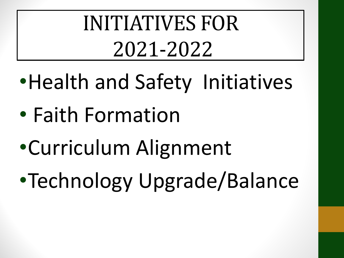INITIATIVES FOR 2021-2022

- •Health and Safety Initiatives
- Faith Formation
- •Curriculum Alignment
- •Technology Upgrade/Balance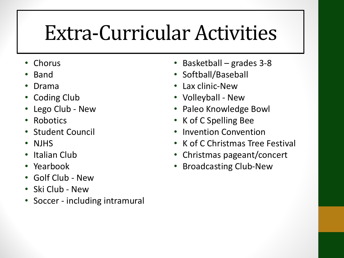#### Extra-Curricular Activities

- Chorus
- Band
- Drama
- Coding Club
- Lego Club New
- Robotics
- Student Council
- NJHS
- Italian Club
- Yearbook
- Golf Club New
- Ski Club New
- Soccer including intramural
- Basketball grades 3-8
- Softball/Baseball
- Lax clinic-New
- Volleyball New
- Paleo Knowledge Bowl
- K of C Spelling Bee
- Invention Convention
- K of C Christmas Tree Festival
- Christmas pageant/concert
- Broadcasting Club-New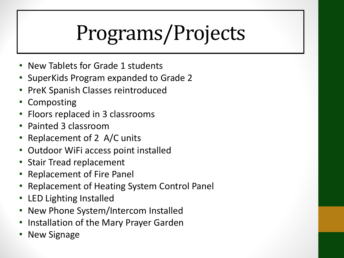# Programs/Projects

- New Tablets for Grade 1 students
- SuperKids Program expanded to Grade 2
- PreK Spanish Classes reintroduced
- Composting
- Floors replaced in 3 classrooms
- Painted 3 classroom
- Replacement of 2 A/C units
- Outdoor WiFi access point installed
- Stair Tread replacement
- Replacement of Fire Panel
- Replacement of Heating System Control Panel
- LED Lighting Installed
- New Phone System/Intercom Installed
- Installation of the Mary Prayer Garden
- New Signage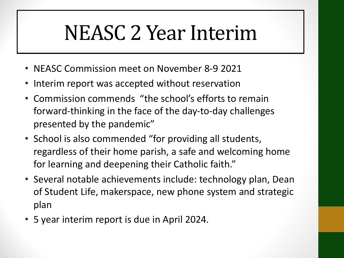#### NEASC 2 Year Interim

- NEASC Commission meet on November 8-9 2021
- Interim report was accepted without reservation
- Commission commends "the school's efforts to remain forward-thinking in the face of the day-to-day challenges presented by the pandemic"
- School is also commended "for providing all students, regardless of their home parish, a safe and welcoming home for learning and deepening their Catholic faith."
- Several notable achievements include: technology plan, Dean of Student Life, makerspace, new phone system and strategic plan
- 5 year interim report is due in April 2024.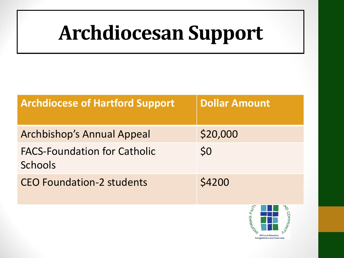#### **Archdiocesan Support**

| <b>Archdiocese of Hartford Support</b>                | <b>Dollar Amount</b> |
|-------------------------------------------------------|----------------------|
| <b>Archbishop's Annual Appeal</b>                     | \$20,000             |
| <b>FACS-Foundation for Catholic</b><br><b>Schools</b> | \$0                  |
| <b>CEO Foundation-2 students</b>                      | \$4200               |

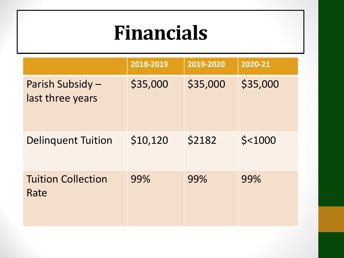#### **Financials**

|                                      | 2018-2019 | 2019-2020 | 2020-21   |
|--------------------------------------|-----------|-----------|-----------|
| Parish Subsidy -<br>last three years | \$35,000  | \$35,000  | \$35,000  |
| <b>Delinquent Tuition</b>            | \$10,120  | \$2182    | $$<$ 1000 |
| <b>Tuition Collection</b><br>Rate    | 99%       | 99%       | 99%       |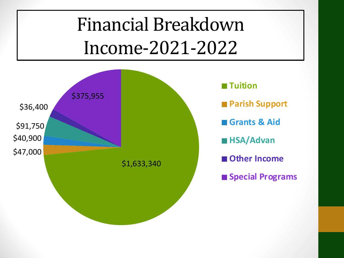#### Financial Breakdown Income-2021-2022

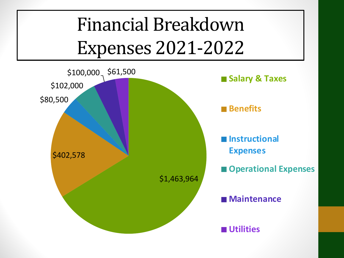#### Financial Breakdown Expenses 2021-2022

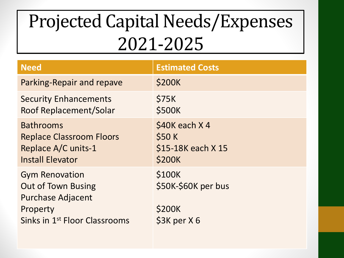#### Projected Capital Needs/Expenses 2021-2025

| <b>Need</b>                                                                                                                             | <b>Estimated Costs</b>                                         |
|-----------------------------------------------------------------------------------------------------------------------------------------|----------------------------------------------------------------|
| Parking-Repair and repave                                                                                                               | <b>\$200K</b>                                                  |
| <b>Security Enhancements</b><br>Roof Replacement/Solar                                                                                  | \$75K<br>\$500K                                                |
| <b>Bathrooms</b><br><b>Replace Classroom Floors</b><br>Replace A/C units-1<br><b>Install Elevator</b>                                   | \$40K each X4<br><b>\$50 K</b><br>\$15-18K each X 15<br>\$200K |
| <b>Gym Renovation</b><br><b>Out of Town Busing</b><br><b>Purchase Adjacent</b><br>Property<br>Sinks in 1 <sup>st</sup> Floor Classrooms | \$100K<br>\$50K-\$60K per bus<br>\$200K<br>$$3K$ per $X$ 6     |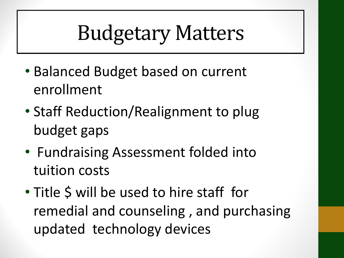### Budgetary Matters

- Balanced Budget based on current enrollment
- Staff Reduction/Realignment to plug budget gaps
- Fundraising Assessment folded into tuition costs
- Title \$ will be used to hire staff for remedial and counseling , and purchasing updated technology devices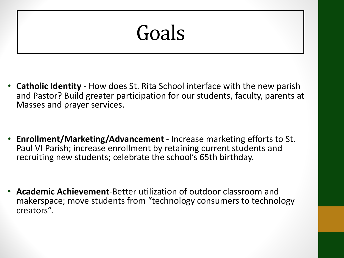#### Goals

- **Catholic Identity**  How does St. Rita School interface with the new parish and Pastor? Build greater participation for our students, faculty, parents at Masses and prayer services.
- **Enrollment/Marketing/Advancement**  Increase marketing efforts to St. Paul VI Parish; increase enrollment by retaining current students and recruiting new students; celebrate the school's 65th birthday.
- **Academic Achievement**-Better utilization of outdoor classroom and makerspace; move students from "technology consumers to technology creators".